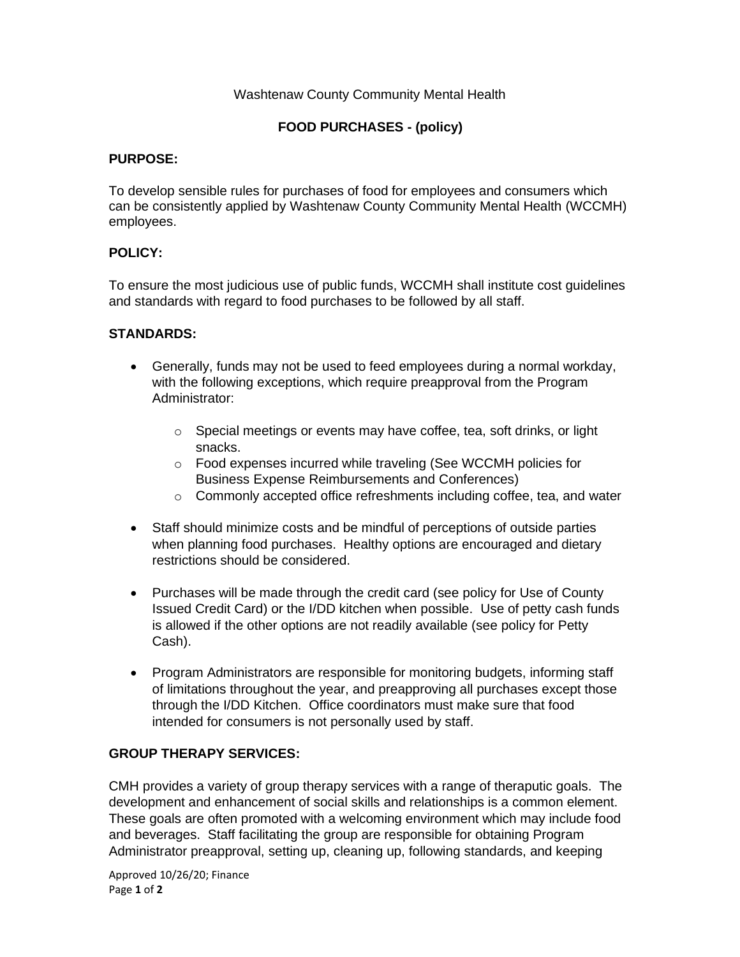### Washtenaw County Community Mental Health

# **FOOD PURCHASES - (policy)**

### **PURPOSE:**

To develop sensible rules for purchases of food for employees and consumers which can be consistently applied by Washtenaw County Community Mental Health (WCCMH) employees.

# **POLICY:**

To ensure the most judicious use of public funds, WCCMH shall institute cost guidelines and standards with regard to food purchases to be followed by all staff.

### **STANDARDS:**

- Generally, funds may not be used to feed employees during a normal workday, with the following exceptions, which require preapproval from the Program Administrator:
	- o Special meetings or events may have coffee, tea, soft drinks, or light snacks.
	- o Food expenses incurred while traveling (See WCCMH policies for Business Expense Reimbursements and Conferences)
	- o Commonly accepted office refreshments including coffee, tea, and water
- Staff should minimize costs and be mindful of perceptions of outside parties when planning food purchases. Healthy options are encouraged and dietary restrictions should be considered.
- Purchases will be made through the credit card (see policy for Use of County Issued Credit Card) or the I/DD kitchen when possible. Use of petty cash funds is allowed if the other options are not readily available (see policy for Petty Cash).
- Program Administrators are responsible for monitoring budgets, informing staff of limitations throughout the year, and preapproving all purchases except those through the I/DD Kitchen. Office coordinators must make sure that food intended for consumers is not personally used by staff.

# **GROUP THERAPY SERVICES:**

CMH provides a variety of group therapy services with a range of theraputic goals. The development and enhancement of social skills and relationships is a common element. These goals are often promoted with a welcoming environment which may include food and beverages. Staff facilitating the group are responsible for obtaining Program Administrator preapproval, setting up, cleaning up, following standards, and keeping

Approved 10/26/20; Finance Page **1** of **2**